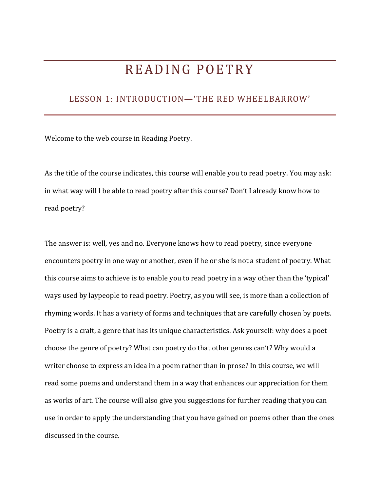# READING POETRY

## LESSON 1: INTRODUCTION—'THE RED WHEELBARROW'

Welcome to the web course in Reading Poetry.

As the title of the course indicates, this course will enable you to read poetry. You may ask: in what way will I be able to read poetry after this course? Don't I already know how to read poetry?

The answer is: well, yes and no. Everyone knows how to read poetry, since everyone encounters poetry in one way or another, even if he or she is not a student of poetry. What this course aims to achieve is to enable you to read poetry in a way other than the 'typical' ways used by laypeople to read poetry. Poetry, as you will see, is more than a collection of rhyming words. It has a variety of forms and techniques that are carefully chosen by poets. Poetry is a craft, a genre that has its unique characteristics. Ask yourself: why does a poet choose the genre of poetry? What can poetry do that other genres can't? Why would a writer choose to express an idea in a poem rather than in prose? In this course, we will read some poems and understand them in a way that enhances our appreciation for them as works of art. The course will also give you suggestions for further reading that you can use in order to apply the understanding that you have gained on poems other than the ones discussed in the course.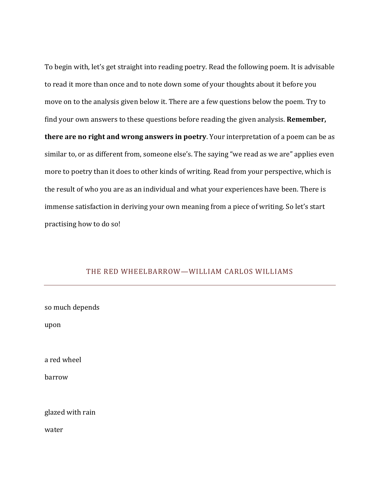To begin with, let's get straight into reading poetry. Read the following poem. It is advisable to read it more than once and to note down some of your thoughts about it before you move on to the analysis given below it. There are a few questions below the poem. Try to find your own answers to these questions before reading the given analysis. **Remember, there are no right and wrong answers in poetry**. Your interpretation of a poem can be as similar to, or as different from, someone else's. The saying "we read as we are" applies even more to poetry than it does to other kinds of writing. Read from your perspective, which is the result of who you are as an individual and what your experiences have been. There is immense satisfaction in deriving your own meaning from a piece of writing. So let's start practising how to do so!

## THE RED WHEELBARROW—WILLIAM CARLOS WILLIAMS

| so much depends  |  |
|------------------|--|
| upon             |  |
|                  |  |
| a red wheel      |  |
| barrow           |  |
|                  |  |
| glazed with rain |  |
| water            |  |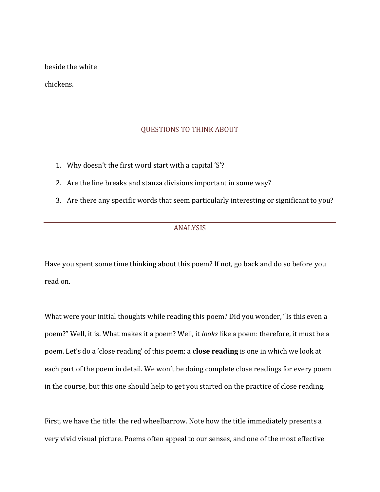beside the white

chickens.

## QUESTIONS TO THINK ABOUT

- 1. Why doesn't the first word start with a capital 'S'?
- 2. Are the line breaks and stanza divisions important in some way?
- 3. Are there any specific words that seem particularly interesting or significant to you?

## ANALYSIS

Have you spent some time thinking about this poem? If not, go back and do so before you read on.

What were your initial thoughts while reading this poem? Did you wonder, "Is this even a poem?" Well, it is. What makes it a poem? Well, it *looks* like a poem: therefore, it must be a poem. Let's do a 'close reading' of this poem: a **close reading** is one in which we look at each part of the poem in detail. We won't be doing complete close readings for every poem in the course, but this one should help to get you started on the practice of close reading.

First, we have the title: the red wheelbarrow. Note how the title immediately presents a very vivid visual picture. Poems often appeal to our senses, and one of the most effective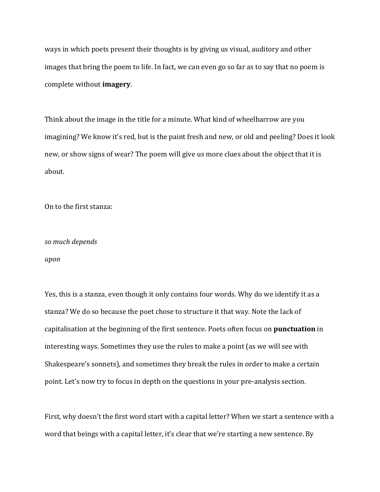ways in which poets present their thoughts is by giving us visual, auditory and other images that bring the poem to life. In fact, we can even go so far as to say that no poem is complete without **imagery**.

Think about the image in the title for a minute. What kind of wheelbarrow are you imagining? We know it's red, but is the paint fresh and new, or old and peeling? Does it look new, or show signs of wear? The poem will give us more clues about the object that it is about.

On to the first stanza:

## *so much depends*

#### *upon*

Yes, this is a stanza, even though it only contains four words. Why do we identify it as a stanza? We do so because the poet chose to structure it that way. Note the lack of capitalisation at the beginning of the first sentence. Poets often focus on **punctuation** in interesting ways. Sometimes they use the rules to make a point (as we will see with Shakespeare's sonnets), and sometimes they break the rules in order to make a certain point. Let's now try to focus in depth on the questions in your pre-analysis section.

First, why doesn't the first word start with a capital letter? When we start a sentence with a word that beings with a capital letter, it's clear that we're starting a new sentence. By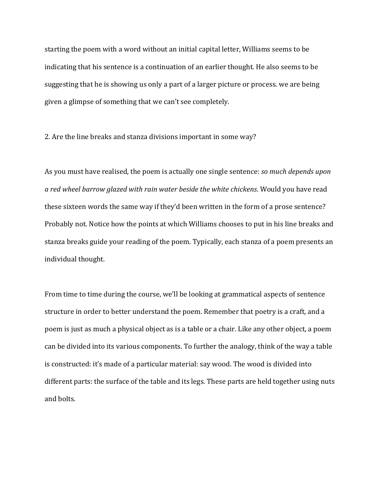starting the poem with a word without an initial capital letter, Williams seems to be indicating that his sentence is a continuation of an earlier thought. He also seems to be suggesting that he is showing us only a part of a larger picture or process. we are being given a glimpse of something that we can't see completely.

2. Are the line breaks and stanza divisions important in some way?

As you must have realised, the poem is actually one single sentence: *so much depends upon a red wheel barrow glazed with rain water beside the white chickens*. Would you have read these sixteen words the same way if they'd been written in the form of a prose sentence? Probably not. Notice how the points at which Williams chooses to put in his line breaks and stanza breaks guide your reading of the poem. Typically, each stanza of a poem presents an individual thought.

From time to time during the course, we'll be looking at grammatical aspects of sentence structure in order to better understand the poem. Remember that poetry is a craft, and a poem is just as much a physical object as is a table or a chair. Like any other object, a poem can be divided into its various components. To further the analogy, think of the way a table is constructed: it's made of a particular material: say wood. The wood is divided into different parts: the surface of the table and its legs. These parts are held together using nuts and bolts.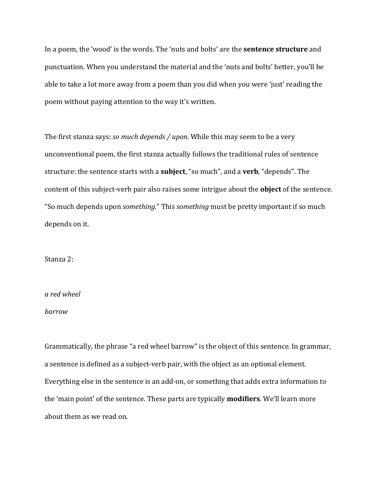In a poem, the 'wood' is the words. The 'nuts and bolts' are the **sentence structure** and punctuation. When you understand the material and the 'nuts and bolts' better, you'll be able to take a lot more away from a poem than you did when you were 'just' reading the poem without paying attention to the way it's written.

The first stanza says: *so much depends / upon.* While this may seem to be a very unconventional poem, the first stanza actually follows the traditional rules of sentence structure: the sentence starts with a **subject**, "so much", and a **verb**, "depends". The content of this subject-verb pair also raises some intrigue about the **object** of the sentence. "So much depends upon *something*." This *something* must be pretty important if so much depends on it.

Stanza 2:

#### *a red wheel*

#### *barrow*

Grammatically, the phrase "a red wheel barrow" is the object of this sentence. In grammar, a sentence is defined as a subject-verb pair, with the object as an optional element. Everything else in the sentence is an add-on, or something that adds extra information to the 'main point' of the sentence. These parts are typically **modifiers**. We'll learn more about them as we read on.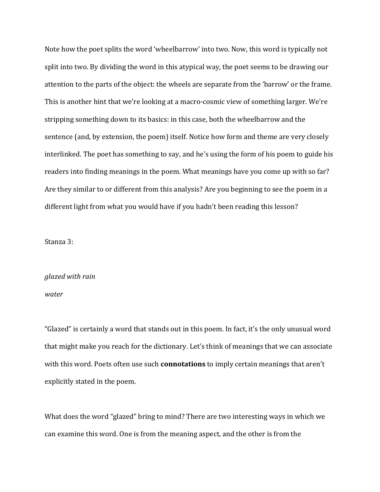Note how the poet splits the word 'wheelbarrow' into two. Now, this word is typically not split into two. By dividing the word in this atypical way, the poet seems to be drawing our attention to the parts of the object: the wheels are separate from the 'barrow' or the frame. This is another hint that we're looking at a macro-cosmic view of something larger. We're stripping something down to its basics: in this case, both the wheelbarrow and the sentence (and, by extension, the poem) itself. Notice how form and theme are very closely interlinked. The poet has something to say, and he's using the form of his poem to guide his readers into finding meanings in the poem. What meanings have you come up with so far? Are they similar to or different from this analysis? Are you beginning to see the poem in a different light from what you would have if you hadn't been reading this lesson?

Stanza 3:

## *glazed with rain*

## *water*

"Glazed" is certainly a word that stands out in this poem. In fact, it's the only unusual word that might make you reach for the dictionary. Let's think of meanings that we can associate with this word. Poets often use such **connotations** to imply certain meanings that aren't explicitly stated in the poem.

What does the word "glazed" bring to mind? There are two interesting ways in which we can examine this word. One is from the meaning aspect, and the other is from the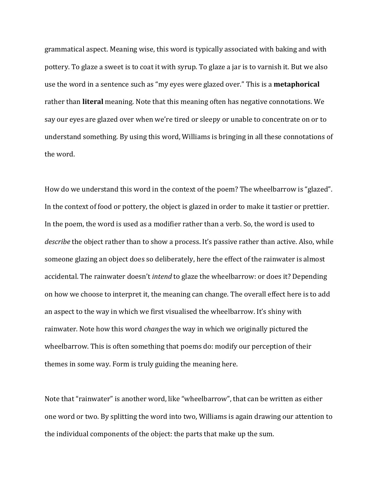grammatical aspect. Meaning wise, this word is typically associated with baking and with pottery. To glaze a sweet is to coat it with syrup. To glaze a jar is to varnish it. But we also use the word in a sentence such as "my eyes were glazed over." This is a **metaphorical**  rather than **literal** meaning. Note that this meaning often has negative connotations. We say our eyes are glazed over when we're tired or sleepy or unable to concentrate on or to understand something. By using this word, Williams is bringing in all these connotations of the word.

How do we understand this word in the context of the poem? The wheelbarrow is "glazed". In the context of food or pottery, the object is glazed in order to make it tastier or prettier. In the poem, the word is used as a modifier rather than a verb. So, the word is used to *describe* the object rather than to show a process. It's passive rather than active. Also, while someone glazing an object does so deliberately, here the effect of the rainwater is almost accidental. The rainwater doesn't *intend* to glaze the wheelbarrow: or does it? Depending on how we choose to interpret it, the meaning can change. The overall effect here is to add an aspect to the way in which we first visualised the wheelbarrow. It's shiny with rainwater. Note how this word *changes* the way in which we originally pictured the wheelbarrow. This is often something that poems do: modify our perception of their themes in some way. Form is truly guiding the meaning here.

Note that "rainwater" is another word, like "wheelbarrow", that can be written as either one word or two. By splitting the word into two, Williams is again drawing our attention to the individual components of the object: the parts that make up the sum.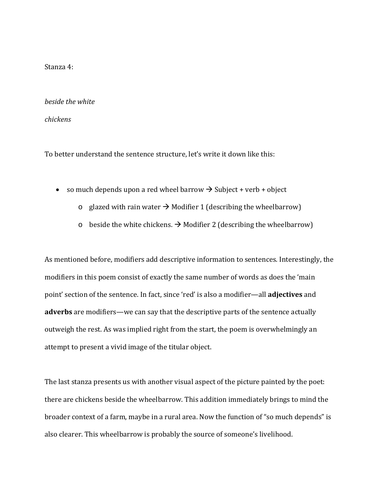Stanza 4:

*beside the white*

*chickens*

To better understand the sentence structure, let's write it down like this:

- so much depends upon a red wheel barrow  $\rightarrow$  Subject + verb + object
	- $\circ$  glazed with rain water  $\rightarrow$  Modifier 1 (describing the wheelbarrow)
	- o beside the white chickens.  $\rightarrow$  Modifier 2 (describing the wheelbarrow)

As mentioned before, modifiers add descriptive information to sentences. Interestingly, the modifiers in this poem consist of exactly the same number of words as does the 'main point' section of the sentence. In fact, since 'red' is also a modifier—all **adjectives** and **adverbs** are modifiers—we can say that the descriptive parts of the sentence actually outweigh the rest. As was implied right from the start, the poem is overwhelmingly an attempt to present a vivid image of the titular object.

The last stanza presents us with another visual aspect of the picture painted by the poet: there are chickens beside the wheelbarrow. This addition immediately brings to mind the broader context of a farm, maybe in a rural area. Now the function of "so much depends" is also clearer. This wheelbarrow is probably the source of someone's livelihood.